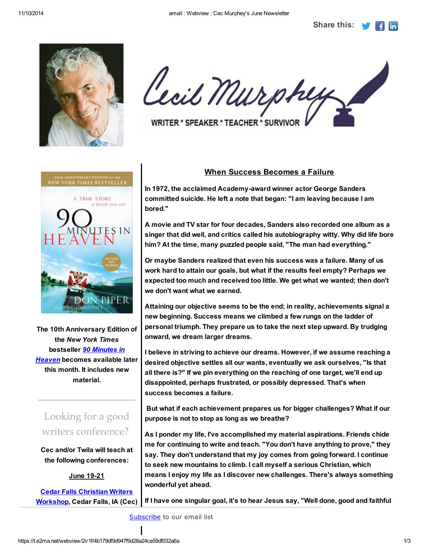Share this:



Cecil Murphy WRITER \* SPEAKER \* TEACHER \* SURVIVOR

**YORK TIMES BESTSELLEI A TRUE STORY J DEATH AND LIFE** 

The 10th Anniversary Edition of the *New York Times* bestseller *90 Minutes in Heaven* becomes available later this month. It includes new material.

## Looking for a good writers conference?

Cec and/or Twila will teach at the following conferences:

June 19-21

Cedar Falls Christian Writers Workshop, Cedar Falls, IA (Cec)

## When Success Becomes a Failure

In 1972, the acclaimed Academy-award winner actor George Sanders committed suicide. He left a note that began: "I am leaving because I am bored."

A movie and TV star for four decades, Sanders also recorded one album as a singer that did well, and critics called his autobiography witty. Why did life bore him? At the time, many puzzled people said, "The man had everything."

Or maybe Sanders realized that even his success was a failure. Many of us work hard to attain our goals, but what if the results feel empty? Perhaps we expected too much and received too little. We get what we wanted; then don't we don't want what we earned.

Attaining our objective seems to be the end; in reality, achievements signal a new beginning. Success means we climbed a few rungs on the ladder of personal triumph. They prepare us to take the next step upward. By trudging onward, we dream larger dreams.

I believe in striving to achieve our dreams. However, if we assume reaching a desired objective settles all our wants, eventually we ask ourselves, "Is that all there is?" If we pin everything on the reaching of one target, we'll end up disappointed, perhaps frustrated, or possibly depressed. That's when success becomes a failure.

But what if each achievement prepares us for bigger challenges? What if our purpose is not to stop as long as we breathe?

As I ponder my life, I've accomplished my material aspirations. Friends chide me for continuing to write and teach. "You don't have anything to prove," they say. They don't understand that my joy comes from going forward. I continue to seek new mountains to climb. I call myself a serious Christian, which means I enjoy my life as I discover new challenges. There's always something wonderful yet ahead.

If I have one singular goal, it's to hear Jesus say, "Well done, good and faithful

Subscribe to our email list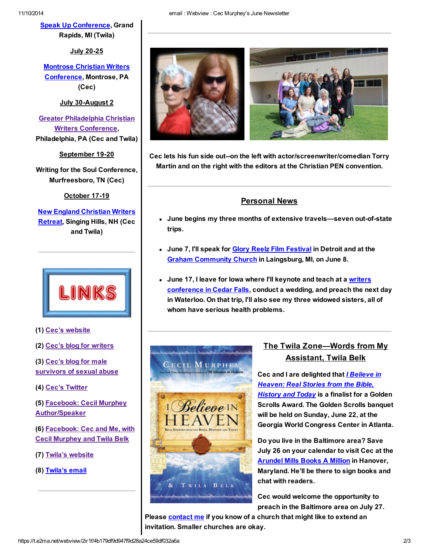Speak Up Conference, Grand Rapids, MI (Twila)

July 20-25

Montrose Christian Writers Conference, Montrose, PA (Cec)

July 30-August 2

Greater Philadelphia Christian Writers Conference, Philadelphia, PA (Cec and Twila)

September 19-20

Writing for the Soul Conference, Murfreesboro, TN (Cec)

October 17-19

New England Christian Writers **Retreat, Singing Hills, NH (Cec** and Twila)



(1) Cec's website

(2) Cec's blog for writers

(3) Cec's blog for male survivors of sexual abuse

(4) Cec's Twitter

(5) Facebook: Cecil Murphey Author/Speaker

(6) Facebook: Cec and Me, with Cecil Murphey and Twila Belk

(7) Twila's website

(8) Twila's email



Cec lets his fun side out--on the left with actor/screenwriter/comedian Torry Martin and on the right with the editors at the Christian PEN convention.

## Personal News

- June begins my three months of extensive travels—seven out-of-state trips.
- June 7, I'll speak for Glory Reelz Film Festival in Detroit and at the **Graham Community Church in Laingsburg, MI, on June 8.**
- June 17, I leave for lowa where I'll keynote and teach at a writers conference in Cedar Falls, conduct a wedding, and preach the next day in Waterloo. On that trip, I'll also see my three widowed sisters, all of whom have serious health problems.



## The Twila Zone—Words from My Assistant, Twila Belk

Cec and I are delighted that *I Believe in Heaven: Real Stories from the Bible, History and Today* is a finalist for a Golden Scrolls Award. The Golden Scrolls banquet will be held on Sunday, June 22, at the Georgia World Congress Center in Atlanta.

Do you live in the Baltimore area? Save July 26 on your calendar to visit Cec at the Arundel Mills Books A Million in Hanover, Maryland. He'll be there to sign books and chat with readers.

Cec would welcome the opportunity to preach in the Baltimore area on July 27.

Please contact me if you know of a church that might like to extend an invitation. Smaller churches are okay.